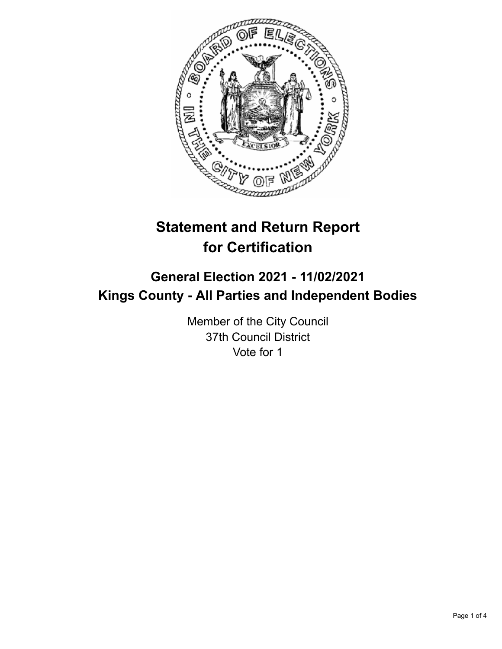

# **Statement and Return Report for Certification**

## **General Election 2021 - 11/02/2021 Kings County - All Parties and Independent Bodies**

Member of the City Council 37th Council District Vote for 1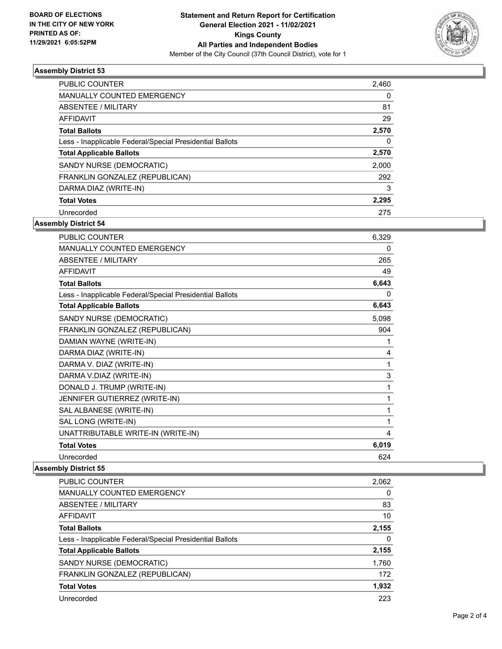

## **Assembly District 53**

| <b>PUBLIC COUNTER</b>                                    | 2,460    |
|----------------------------------------------------------|----------|
| <b>MANUALLY COUNTED EMERGENCY</b>                        | 0        |
| ABSENTEE / MILITARY                                      | 81       |
| <b>AFFIDAVIT</b>                                         | 29       |
| <b>Total Ballots</b>                                     | 2,570    |
| Less - Inapplicable Federal/Special Presidential Ballots | $\Omega$ |
| <b>Total Applicable Ballots</b>                          | 2,570    |
| SANDY NURSE (DEMOCRATIC)                                 | 2,000    |
| FRANKLIN GONZALEZ (REPUBLICAN)                           | 292      |
| DARMA DIAZ (WRITE-IN)                                    | 3        |
| <b>Total Votes</b>                                       | 2,295    |
| Unrecorded                                               | 275      |

## **Assembly District 54**

| PUBLIC COUNTER                                           | 6,329 |
|----------------------------------------------------------|-------|
| MANUALLY COUNTED EMERGENCY                               | 0     |
| <b>ABSENTEE / MILITARY</b>                               | 265   |
| <b>AFFIDAVIT</b>                                         | 49    |
| <b>Total Ballots</b>                                     | 6,643 |
| Less - Inapplicable Federal/Special Presidential Ballots | 0     |
| <b>Total Applicable Ballots</b>                          | 6,643 |
| SANDY NURSE (DEMOCRATIC)                                 | 5,098 |
| FRANKLIN GONZALEZ (REPUBLICAN)                           | 904   |
| DAMIAN WAYNE (WRITE-IN)                                  | 1     |
| DARMA DIAZ (WRITE-IN)                                    | 4     |
| DARMA V. DIAZ (WRITE-IN)                                 | 1     |
| DARMA V.DIAZ (WRITE-IN)                                  | 3     |
| DONALD J. TRUMP (WRITE-IN)                               | 1     |
| JENNIFER GUTIERREZ (WRITE-IN)                            | 1     |
| SAL ALBANESE (WRITE-IN)                                  | 1     |
| SAL LONG (WRITE-IN)                                      | 1     |
| UNATTRIBUTABLE WRITE-IN (WRITE-IN)                       | 4     |
| <b>Total Votes</b>                                       | 6,019 |
| Unrecorded                                               | 624   |

#### **Assembly District 55**

| <b>PUBLIC COUNTER</b>                                    | 2,062 |
|----------------------------------------------------------|-------|
| MANUALLY COUNTED EMERGENCY                               | 0     |
| ABSENTEE / MILITARY                                      | 83    |
| AFFIDAVIT                                                | 10    |
| <b>Total Ballots</b>                                     | 2,155 |
| Less - Inapplicable Federal/Special Presidential Ballots | 0     |
| <b>Total Applicable Ballots</b>                          | 2,155 |
| SANDY NURSE (DEMOCRATIC)                                 | 1,760 |
| FRANKLIN GONZALEZ (REPUBLICAN)                           | 172   |
| <b>Total Votes</b>                                       | 1,932 |
| Unrecorded                                               | 223   |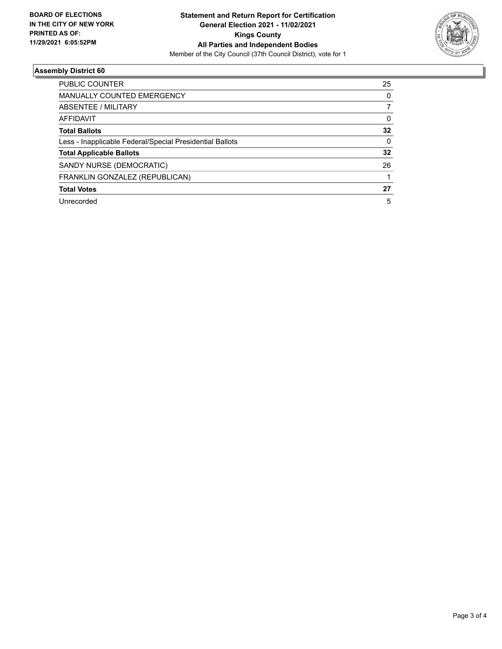

### **Assembly District 60**

| PUBLIC COUNTER                                           | 25 |
|----------------------------------------------------------|----|
| <b>MANUALLY COUNTED EMERGENCY</b>                        | 0  |
| ABSENTEE / MILITARY                                      |    |
| <b>AFFIDAVIT</b>                                         | 0  |
| <b>Total Ballots</b>                                     | 32 |
| Less - Inapplicable Federal/Special Presidential Ballots | 0  |
| <b>Total Applicable Ballots</b>                          | 32 |
| SANDY NURSE (DEMOCRATIC)                                 | 26 |
| FRANKLIN GONZALEZ (REPUBLICAN)                           |    |
| <b>Total Votes</b>                                       | 27 |
| Unrecorded                                               | 5  |